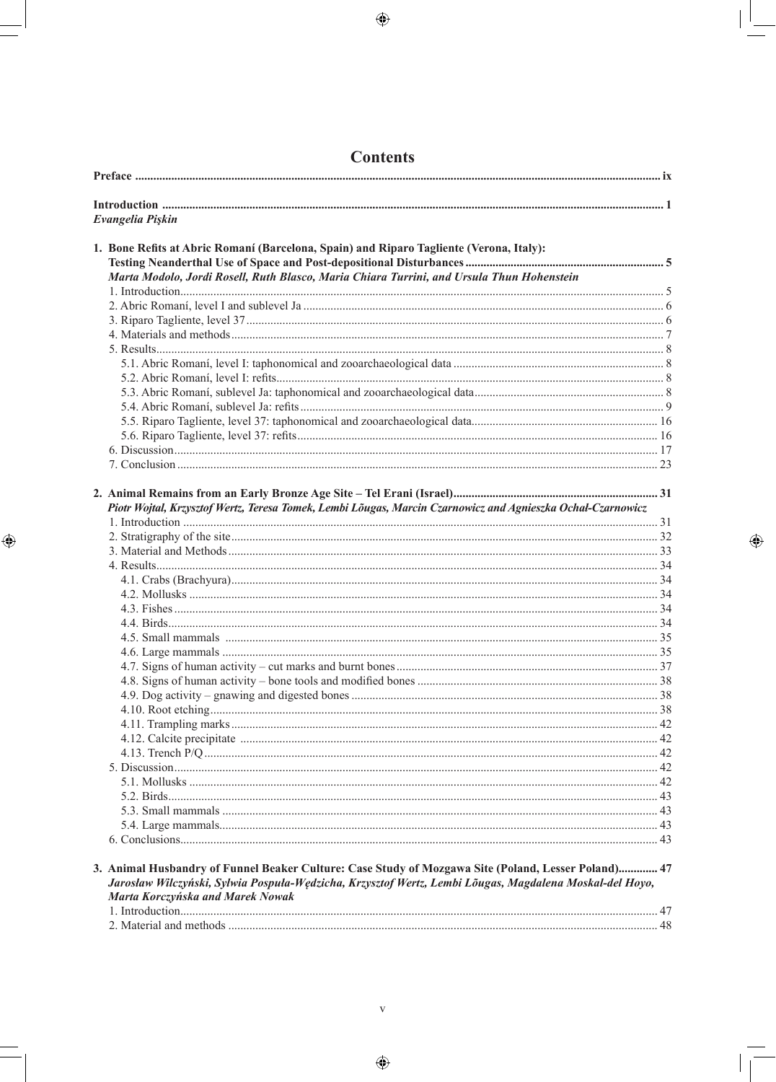$\bigoplus$ 

| Evangelia Pişkin                                                                                            |  |
|-------------------------------------------------------------------------------------------------------------|--|
|                                                                                                             |  |
| 1. Bone Refits at Abric Romaní (Barcelona, Spain) and Riparo Tagliente (Verona, Italy):                     |  |
|                                                                                                             |  |
| Marta Modolo, Jordi Rosell, Ruth Blasco, Maria Chiara Turrini, and Ursula Thun Hohenstein                   |  |
|                                                                                                             |  |
|                                                                                                             |  |
|                                                                                                             |  |
|                                                                                                             |  |
|                                                                                                             |  |
|                                                                                                             |  |
|                                                                                                             |  |
|                                                                                                             |  |
|                                                                                                             |  |
|                                                                                                             |  |
|                                                                                                             |  |
|                                                                                                             |  |
|                                                                                                             |  |
|                                                                                                             |  |
|                                                                                                             |  |
| Piotr Wojtal, Krzysztof Wertz, Teresa Tomek, Lembi Lõugas, Marcin Czarnowicz and Agnieszka Ochal-Czarnowicz |  |
|                                                                                                             |  |
|                                                                                                             |  |
|                                                                                                             |  |
|                                                                                                             |  |
|                                                                                                             |  |
|                                                                                                             |  |
|                                                                                                             |  |
|                                                                                                             |  |
|                                                                                                             |  |
|                                                                                                             |  |
|                                                                                                             |  |
|                                                                                                             |  |
|                                                                                                             |  |
|                                                                                                             |  |
|                                                                                                             |  |
|                                                                                                             |  |
|                                                                                                             |  |
|                                                                                                             |  |
|                                                                                                             |  |
|                                                                                                             |  |
|                                                                                                             |  |
|                                                                                                             |  |
|                                                                                                             |  |
|                                                                                                             |  |
| 3. Animal Husbandry of Funnel Beaker Culture: Case Study of Mozgawa Site (Poland, Lesser Poland) 47         |  |
| Jarosław Wilczyński, Sylwia Pospuła-Wędzicha, Krzysztof Wertz, Lembi Lõugas, Magdalena Moskal-del Hoyo,     |  |
| Marta Korczyńska and Marek Nowak                                                                            |  |
|                                                                                                             |  |
|                                                                                                             |  |

 $\bigoplus$ 

 $\bigoplus$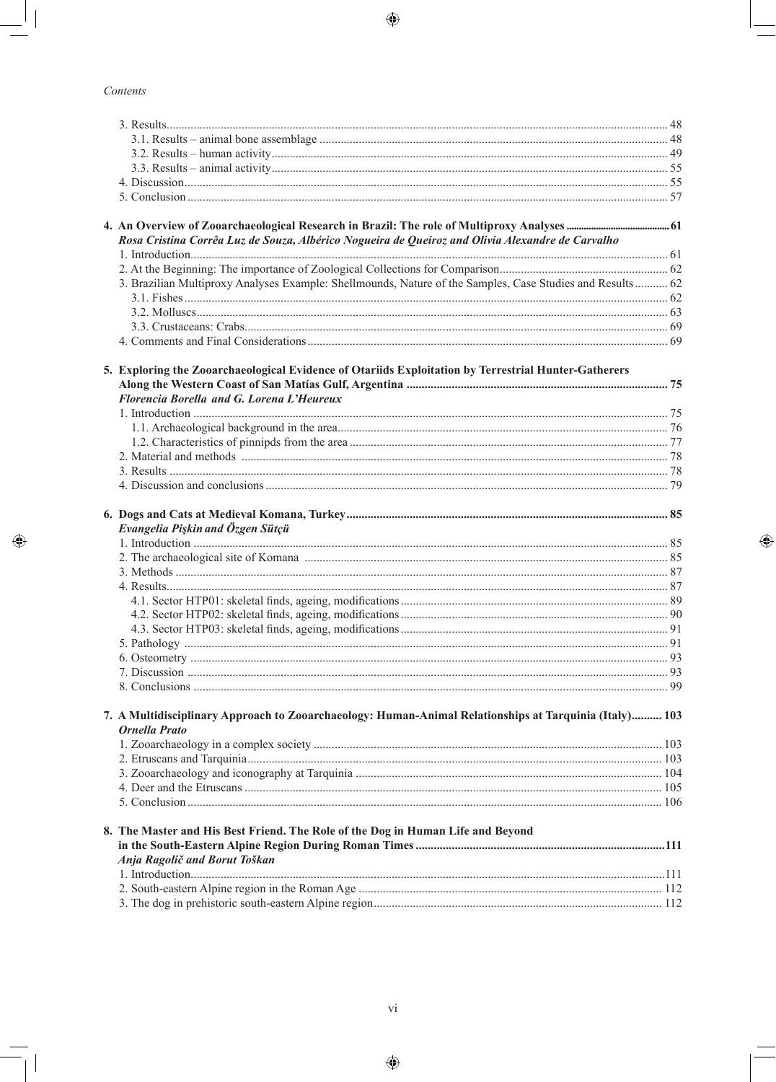$\bigoplus$ 

## Contents

 $\Box$ 

 $\bigoplus$ 

| Rosa Cristina Corrêa Luz de Souza, Albérico Nogueira de Queiroz and Olivia Alexandre de Carvalho                               |  |
|--------------------------------------------------------------------------------------------------------------------------------|--|
|                                                                                                                                |  |
|                                                                                                                                |  |
| 3. Brazilian Multiproxy Analyses Example: Shellmounds, Nature of the Samples, Case Studies and Results 62                      |  |
|                                                                                                                                |  |
|                                                                                                                                |  |
|                                                                                                                                |  |
|                                                                                                                                |  |
|                                                                                                                                |  |
| 5. Exploring the Zooarchaeological Evidence of Otariids Exploitation by Terrestrial Hunter-Gatherers                           |  |
| Florencia Borella and G. Lorena L'Heureux                                                                                      |  |
|                                                                                                                                |  |
|                                                                                                                                |  |
|                                                                                                                                |  |
|                                                                                                                                |  |
|                                                                                                                                |  |
|                                                                                                                                |  |
|                                                                                                                                |  |
|                                                                                                                                |  |
| Evangelia Pişkin and Özgen Sütçü                                                                                               |  |
|                                                                                                                                |  |
|                                                                                                                                |  |
|                                                                                                                                |  |
|                                                                                                                                |  |
|                                                                                                                                |  |
|                                                                                                                                |  |
|                                                                                                                                |  |
|                                                                                                                                |  |
|                                                                                                                                |  |
|                                                                                                                                |  |
|                                                                                                                                |  |
|                                                                                                                                |  |
| 7. A Multidisciplinary Approach to Zooarchaeology: Human-Animal Relationships at Tarquinia (Italy) 103<br><b>Ornella Prato</b> |  |
|                                                                                                                                |  |
|                                                                                                                                |  |
|                                                                                                                                |  |
|                                                                                                                                |  |
|                                                                                                                                |  |
|                                                                                                                                |  |
| 8. The Master and His Best Friend. The Role of the Dog in Human Life and Beyond                                                |  |
|                                                                                                                                |  |
| Anja Ragolič and Borut Toškan                                                                                                  |  |
|                                                                                                                                |  |
|                                                                                                                                |  |
|                                                                                                                                |  |

 $\bigoplus$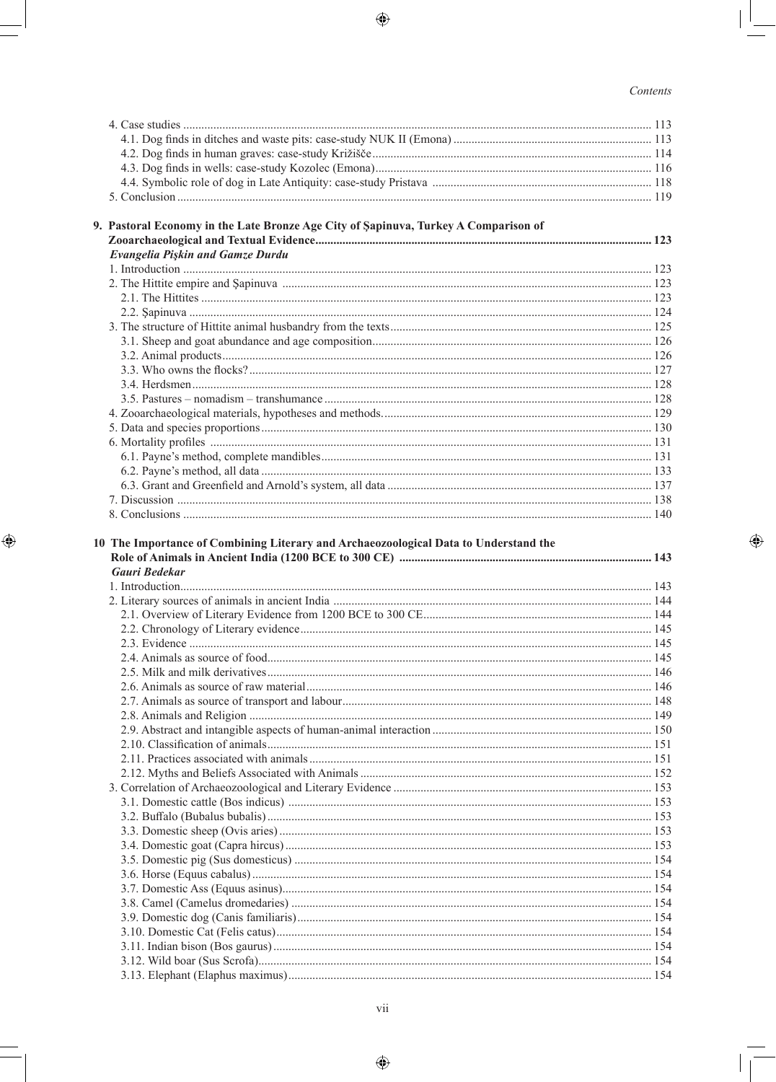$\bigoplus$ 

## Contents

 $\begin{array}{c} \hline \end{array}$  $\overline{\phantom{a}}$ 

 $\bigoplus$ 

| 9. Pastoral Economy in the Late Bronze Age City of Sapinuva, Turkey A Comparison of |  |
|-------------------------------------------------------------------------------------|--|
|                                                                                     |  |
| Evangelia Pişkin and Gamze Durdu                                                    |  |
|                                                                                     |  |
|                                                                                     |  |
|                                                                                     |  |
|                                                                                     |  |
|                                                                                     |  |
|                                                                                     |  |
|                                                                                     |  |
|                                                                                     |  |
|                                                                                     |  |
|                                                                                     |  |
|                                                                                     |  |
|                                                                                     |  |
|                                                                                     |  |
|                                                                                     |  |
|                                                                                     |  |
|                                                                                     |  |
|                                                                                     |  |
|                                                                                     |  |
|                                                                                     |  |
| Gauri Bedekar                                                                       |  |
|                                                                                     |  |
|                                                                                     |  |
|                                                                                     |  |
|                                                                                     |  |
|                                                                                     |  |
|                                                                                     |  |
|                                                                                     |  |
|                                                                                     |  |
|                                                                                     |  |
|                                                                                     |  |
|                                                                                     |  |
|                                                                                     |  |
|                                                                                     |  |
|                                                                                     |  |
|                                                                                     |  |
|                                                                                     |  |
|                                                                                     |  |
|                                                                                     |  |
|                                                                                     |  |
|                                                                                     |  |
|                                                                                     |  |
|                                                                                     |  |
|                                                                                     |  |
|                                                                                     |  |
|                                                                                     |  |
|                                                                                     |  |

 $\bigoplus$